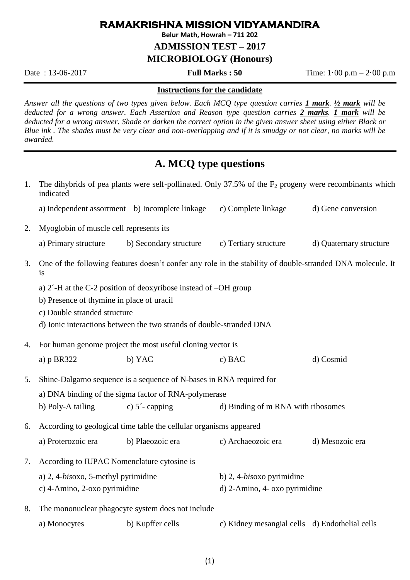### **RAMAKRISHNA MISSION VIDYAMANDIRA**

**Belur Math, Howrah – 711 202**

**ADMISSION TEST – 2017**

**MICROBIOLOGY (Honours)**

Date : 13-06-2017 **Full Marks : 50** Time: 1·00 p.m – 2·00 p.m

#### **Instructions for the candidate**

*Answer all the questions of two types given below. Each MCQ type question carries 1 mark. ½ mark will be deducted for a wrong answer. Each Assertion and Reason type question carries 2 marks. 1 mark will be deducted for a wrong answer. Shade or darken the correct option in the given answer sheet using either Black or Blue ink . The shades must be very clear and non-overlapping and if it is smudgy or not clear, no marks will be awarded.*

# **A. MCQ type questions**

| 1. | indicated                                                                                                        |                           | The dihybrids of pea plants were self-pollinated. Only 37.5% of the $F_2$ progeny were recombinants which |                         |  |
|----|------------------------------------------------------------------------------------------------------------------|---------------------------|-----------------------------------------------------------------------------------------------------------|-------------------------|--|
|    | a) Independent assortment b) Incomplete linkage                                                                  |                           | c) Complete linkage                                                                                       | d) Gene conversion      |  |
| 2. | Myoglobin of muscle cell represents its                                                                          |                           |                                                                                                           |                         |  |
|    | a) Primary structure                                                                                             | b) Secondary structure    | c) Tertiary structure                                                                                     | d) Quaternary structure |  |
| 3. | One of the following features doesn't confer any role in the stability of double-stranded DNA molecule. It<br>1S |                           |                                                                                                           |                         |  |
|    | a) $2^{\prime}$ -H at the C-2 position of deoxyribose instead of $-OH$ group                                     |                           |                                                                                                           |                         |  |
|    | b) Presence of thymine in place of uracil                                                                        |                           |                                                                                                           |                         |  |
|    | c) Double stranded structure                                                                                     |                           |                                                                                                           |                         |  |
|    | d) Ionic interactions between the two strands of double-stranded DNA                                             |                           |                                                                                                           |                         |  |
| 4. | For human genome project the most useful cloning vector is                                                       |                           |                                                                                                           |                         |  |
|    | a) p BR322                                                                                                       | b) YAC                    | c) BAC                                                                                                    | d) Cosmid               |  |
| 5. | Shine-Dalgarno sequence is a sequence of N-bases in RNA required for                                             |                           |                                                                                                           |                         |  |
|    | a) DNA binding of the sigma factor of RNA-polymerase                                                             |                           |                                                                                                           |                         |  |
|    | b) Poly-A tailing                                                                                                | c) $5^{\prime}$ - capping | d) Binding of m RNA with ribosomes                                                                        |                         |  |
| 6. | According to geological time table the cellular organisms appeared                                               |                           |                                                                                                           |                         |  |
|    | a) Proterozoic era                                                                                               | b) Plaeozoic era          | c) Archaeozoic era                                                                                        | d) Mesozoic era         |  |
| 7. | According to IUPAC Nomenclature cytosine is                                                                      |                           |                                                                                                           |                         |  |
|    | a) 2, 4-bisoxo, 5-methyl pyrimidine                                                                              |                           | b) $2, 4-bisoxo$ pyrimidine                                                                               |                         |  |
|    | c) 4-Amino, 2-oxo pyrimidine                                                                                     |                           | d) 2-Amino, 4- oxo pyrimidine                                                                             |                         |  |
| 8. | The mononuclear phagocyte system does not include                                                                |                           |                                                                                                           |                         |  |
|    | a) Monocytes                                                                                                     | b) Kupffer cells          | c) Kidney mesangial cells d) Endothelial cells                                                            |                         |  |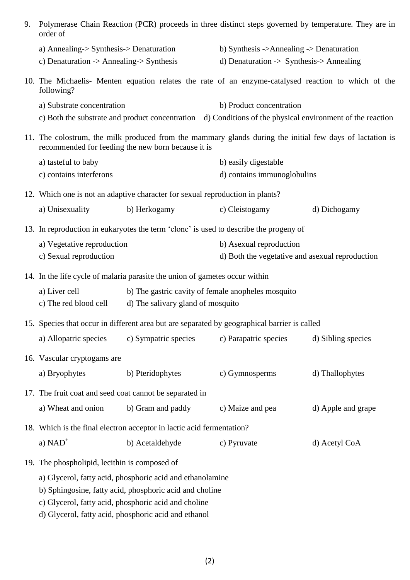| 9.                                                                    | Polymerase Chain Reaction (PCR) proceeds in three distinct steps governed by temperature. They are in<br>order of                                              |                                   |                                                                                                           |                    |
|-----------------------------------------------------------------------|----------------------------------------------------------------------------------------------------------------------------------------------------------------|-----------------------------------|-----------------------------------------------------------------------------------------------------------|--------------------|
|                                                                       | a) Annealing-> Synthesis-> Denaturation                                                                                                                        |                                   | b) Synthesis ->Annealing -> Denaturation                                                                  |                    |
|                                                                       | c) Denaturation $\rightarrow$ Annealing- $\gt$ Synthesis                                                                                                       |                                   | d) Denaturation $\rightarrow$ Synthesis- $>$ Annealing                                                    |                    |
|                                                                       | 10. The Michaelis- Menten equation relates the rate of an enzyme-catalysed reaction to which of the<br>following?                                              |                                   |                                                                                                           |                    |
|                                                                       | a) Substrate concentration                                                                                                                                     |                                   | b) Product concentration                                                                                  |                    |
|                                                                       |                                                                                                                                                                |                                   | c) Both the substrate and product concentration d) Conditions of the physical environment of the reaction |                    |
|                                                                       | 11. The colostrum, the milk produced from the mammary glands during the initial few days of lactation is<br>recommended for feeding the new born because it is |                                   |                                                                                                           |                    |
|                                                                       | a) tasteful to baby                                                                                                                                            |                                   | b) easily digestable                                                                                      |                    |
|                                                                       | c) contains interferons                                                                                                                                        |                                   | d) contains immunoglobulins                                                                               |                    |
|                                                                       | 12. Which one is not an adaptive character for sexual reproduction in plants?                                                                                  |                                   |                                                                                                           |                    |
|                                                                       | a) Unisexuality                                                                                                                                                | b) Herkogamy                      | c) Cleistogamy                                                                                            | d) Dichogamy       |
|                                                                       | 13. In reproduction in eukaryotes the term 'clone' is used to describe the progeny of                                                                          |                                   |                                                                                                           |                    |
|                                                                       | a) Vegetative reproduction                                                                                                                                     |                                   | b) Asexual reproduction                                                                                   |                    |
|                                                                       | c) Sexual reproduction                                                                                                                                         |                                   | d) Both the vegetative and asexual reproduction                                                           |                    |
|                                                                       | 14. In the life cycle of malaria parasite the union of gametes occur within                                                                                    |                                   |                                                                                                           |                    |
|                                                                       | a) Liver cell<br>b) The gastric cavity of female anopheles mosquito                                                                                            |                                   |                                                                                                           |                    |
|                                                                       | c) The red blood cell                                                                                                                                          | d) The salivary gland of mosquito |                                                                                                           |                    |
|                                                                       | 15. Species that occur in different area but are separated by geographical barrier is called                                                                   |                                   |                                                                                                           |                    |
|                                                                       | a) Allopatric species                                                                                                                                          | c) Sympatric species              | c) Parapatric species                                                                                     | d) Sibling species |
|                                                                       | 16. Vascular cryptogams are                                                                                                                                    |                                   |                                                                                                           |                    |
|                                                                       | a) Bryophytes                                                                                                                                                  | b) Pteridophytes                  | c) Gymnosperms                                                                                            | d) Thallophytes    |
|                                                                       | 17. The fruit coat and seed coat cannot be separated in                                                                                                        |                                   |                                                                                                           |                    |
|                                                                       | a) Wheat and onion                                                                                                                                             | b) Gram and paddy                 | c) Maize and pea                                                                                          | d) Apple and grape |
| 18. Which is the final electron acceptor in lactic acid fermentation? |                                                                                                                                                                |                                   |                                                                                                           |                    |
|                                                                       | a) $NAD+$                                                                                                                                                      | b) Acetaldehyde                   | c) Pyruvate                                                                                               | d) Acetyl CoA      |
|                                                                       | 19. The phospholipid, lecithin is composed of                                                                                                                  |                                   |                                                                                                           |                    |
|                                                                       | a) Glycerol, fatty acid, phosphoric acid and ethanolamine                                                                                                      |                                   |                                                                                                           |                    |
|                                                                       | b) Sphingosine, fatty acid, phosphoric acid and choline                                                                                                        |                                   |                                                                                                           |                    |
|                                                                       | c) Glycerol, fatty acid, phosphoric acid and choline                                                                                                           |                                   |                                                                                                           |                    |

d) Glycerol, fatty acid, phosphoric acid and ethanol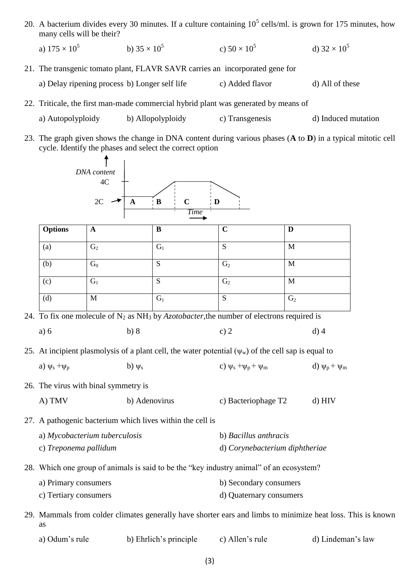20. A bacterium divides every 30 minutes. If a culture containing  $10^5$  cells/ml. is grown for 175 minutes, how many cells will be their?

a)  $175 \times 10^5$ b)  $35 \times 10^5$ c)  $50 \times 10^5$ d)  $32 \times 10^5$ 

- 21. The transgenic tomato plant, FLAVR SAVR carries an incorporated gene for a) Delay ripening process b) Longer self life c) Added flavor d) All of these
- 22. Triticale, the first man-made commercial hybrid plant was generated by means of
	- a) Autopolyploidy b) Allopolyploidy c) Transgenesis d) Induced mutation
- 23. The graph given shows the change in DNA content during various phases (**A** to **D**) in a typical mitotic cell cycle. Identify the phases and select the correct option



| b) Ehrlich's principle<br>a) Odum's rule | c) Allen's rule | d) Lindeman's law |
|------------------------------------------|-----------------|-------------------|
|------------------------------------------|-----------------|-------------------|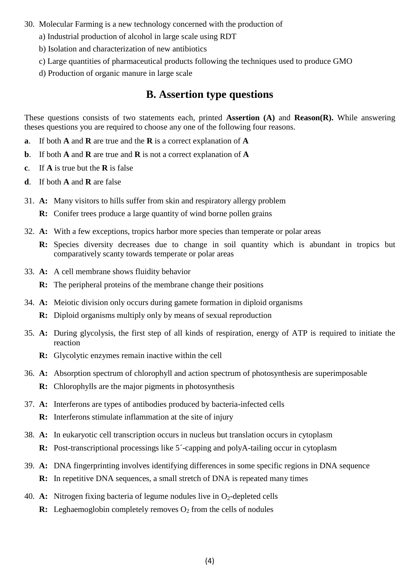- 30. Molecular Farming is a new technology concerned with the production of
	- a) Industrial production of alcohol in large scale using RDT
	- b) Isolation and characterization of new antibiotics
	- c) Large quantities of pharmaceutical products following the techniques used to produce GMO
	- d) Production of organic manure in large scale

### **B. Assertion type questions**

These questions consists of two statements each, printed **Assertion (A)** and **Reason(R).** While answering theses questions you are required to choose any one of the following four reasons.

- **a**. If both **A** and **R** are true and the **R** is a correct explanation of **A**
- **b**. If both **A** and **R** are true and **R** is not a correct explanation of **A**
- **c**. If **A** is true but the **R** is false
- **d**. If both **A** and **R** are false
- 31. **A:** Many visitors to hills suffer from skin and respiratory allergy problem
	- **R:** Conifer trees produce a large quantity of wind borne pollen grains
- 32. **A:** With a few exceptions, tropics harbor more species than temperate or polar areas
	- **R:** Species diversity decreases due to change in soil quantity which is abundant in tropics but comparatively scanty towards temperate or polar areas
- 33. **A:** A cell membrane shows fluidity behavior
	- **R:** The peripheral proteins of the membrane change their positions
- 34. **A:** Meiotic division only occurs during gamete formation in diploid organisms
	- **R:** Diploid organisms multiply only by means of sexual reproduction
- 35. **A:** During glycolysis, the first step of all kinds of respiration, energy of ATP is required to initiate the reaction
	- **R:** Glycolytic enzymes remain inactive within the cell
- 36. **A:** Absorption spectrum of chlorophyll and action spectrum of photosynthesis are superimposable
	- **R:** Chlorophylls are the major pigments in photosynthesis
- 37. **A:** Interferons are types of antibodies produced by bacteria-infected cells
	- **R:** Interferons stimulate inflammation at the site of injury
- 38. **A:** In eukaryotic cell transcription occurs in nucleus but translation occurs in cytoplasm
	- **R:** Post-transcriptional processings like 5<sup>-</sup>capping and polyA-tailing occur in cytoplasm
- 39. **A:** DNA fingerprinting involves identifying differences in some specific regions in DNA sequence **R:** In repetitive DNA sequences, a small stretch of DNA is repeated many times
- 
- 40. **A:** Nitrogen fixing bacteria of legume nodules live in  $O_2$ -depleted cells
	- **R:** Leghaemoglobin completely removes  $O_2$  from the cells of nodules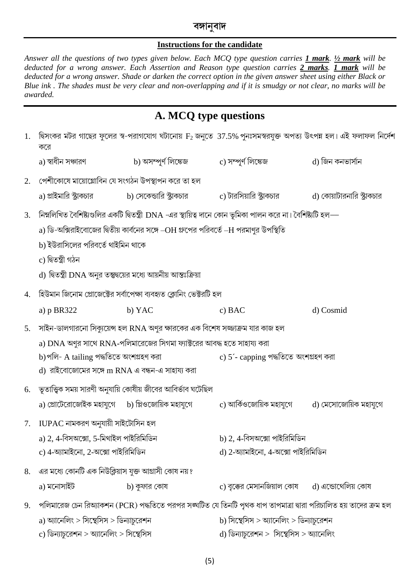### বঙ্গানবাদ

#### **Instructions for the candidate**

Answer all the questions of two types given below. Each MCQ type question carries *1 mark*. <sup>1/2</sup> mark will be deducted for a wrong answer. Each Assertion and Reason type question carries 2 marks. 1 mark will be deducted for a wrong answer. Shade or darken the correct option in the given answer sheet using either Black or Blue ink. The shades must be very clear and non-overlapping and if it is smudgy or not clear, no marks will be awarded.

# A. MCQ type questions

| 1. | করে                                                                                                              | 'দ্বিসংকর মটর গাছের ফুলের স্ব-পরাগযোগ ঘটানোয় $\rm F_2$ জনুতে $~37.5\%$ পুনঃসমস্বরযুক্ত অপত্য উৎপন্ন হল। এই ফলাফল নির্দেশ |                                                         |                             |  |  |
|----|------------------------------------------------------------------------------------------------------------------|---------------------------------------------------------------------------------------------------------------------------|---------------------------------------------------------|-----------------------------|--|--|
|    | a) স্বাধীন সঞ্চারণ                                                                                               | b) অসম্পূর্ণ লিঙ্কেজ                                                                                                      | c) সম্পূৰ্ণ লিঙ্কেজ                                     | d) জিন কনভাৰ্সান            |  |  |
| 2. |                                                                                                                  | পেশীকোষে মায়োগ্লোবিন যে সংগঠন উপস্থাপন করে তা হল                                                                         |                                                         |                             |  |  |
|    |                                                                                                                  | a) প্রাইমারি স্ট্রাকচার                 b) সেকেন্ডারি স্ট্রাকচার               c) টারসিয়ারি স্ট্রাকচার                   |                                                         | d) কোয়াটারনারি স্ট্রাক্চার |  |  |
| 3. | নিম্নলিখিত বৈশিষ্ট্যগুলির একটি দ্বিতন্ত্রী DNA -এর স্থায়িত্ব দানে কোন ভূমিকা পালন করে না। বৈশিষ্ট্যটি হল—       |                                                                                                                           |                                                         |                             |  |  |
|    | a) ডি-অক্সিরাইবোজের দ্বিতীয় কার্বনের সঙ্গে –OH গ্রুপের পরিবর্তে –H পরমাণুর উপস্থিতি                             |                                                                                                                           |                                                         |                             |  |  |
|    | b) ইউরাসিলের পরিবর্তে থাইমিন থাকে                                                                                |                                                                                                                           |                                                         |                             |  |  |
|    | c) দ্বিতন্ত্ৰী গঠন                                                                                               |                                                                                                                           |                                                         |                             |  |  |
|    | d) দ্বিতন্ত্রী DNA অনুর তন্তুদ্বয়ের মধ্যে আয়নীয় আন্তঃক্রিয়া                                                  |                                                                                                                           |                                                         |                             |  |  |
| 4. | হিউমান জিনোম প্রোজেক্টের সর্বাপেক্ষা ব্যবহৃত ক্লোনিং ভেক্টরটি হল                                                 |                                                                                                                           |                                                         |                             |  |  |
|    | a) $p$ BR322                                                                                                     | b) YAC                                                                                                                    | $c)$ BAC                                                | d) Cosmid                   |  |  |
| 5. | সাইন-ডালগারনো সিক্যুয়েন্স হল RNA অণুর ক্ষারকের এক বিশেষ সজ্জাক্রম যার কাজ হল                                    |                                                                                                                           |                                                         |                             |  |  |
|    | a) DNA অণুর সাথে RNA-পলিমারেজের সিগমা ফ্যাক্টরের আবদ্ধ হতে সাহায্য করা                                           |                                                                                                                           |                                                         |                             |  |  |
|    | b)পলি- A tailing পদ্ধতিতে অংশগ্ৰহণ করা                                                                           |                                                                                                                           | c) 5´- capping পদ্ধতিতে অংশগ্ৰহণ করা                    |                             |  |  |
|    | d) রাইবোজোমের সঙ্গে m RNA এ বন্ধন-এ সাহায্য করা                                                                  |                                                                                                                           |                                                         |                             |  |  |
| 6. | ভূতাত্ত্বিক সময় সারণী অনুযায়ি কোষীয় জীবের আবির্ভাব ঘটেছিল                                                     |                                                                                                                           |                                                         |                             |  |  |
|    |                                                                                                                  | a) প্রোটেরোজোইক মহাযুগে b) প্লিওজোয়িক মহাযুগে $\qquad c$ ) আর্কিওজোয়িক মহাযুগে $\qquad d$ ) মেসোজোয়িক মহাযুগে          |                                                         |                             |  |  |
| 7. | $IUPAC$ নামকরণ অনুযায়ী সাইটোসিন হল                                                                              |                                                                                                                           |                                                         |                             |  |  |
|    | a) 2, 4-বিসঅক্সো, 5-মিথাইল পাইরিমিডিন                                                                            |                                                                                                                           | b) 2, 4-বিসঅক্সো পাইরিমিডিন                             |                             |  |  |
|    | c) 4-অ্যামাইনো, 2-অক্সো পাইরিমিডিন<br>d) 2-অ্যামাইনো, 4-অক্সো পাইরিমিডিন                                         |                                                                                                                           |                                                         |                             |  |  |
| 8. | এর মধ্যে কোনটি এক নিউক্লিয়াস যুক্ত আগ্রাসী কোষ নয়?                                                             |                                                                                                                           |                                                         |                             |  |  |
|    | a) মনোসাইট                                                                                                       | b) কুফার কোষ                                                                                                              | $\,$ c) বৃক্কের মেসানজিয়াল কোষ $\,$ d) এন্ডোথেলিয় কোষ |                             |  |  |
| 9. | পলিমারেজ চেন রিঅ্যাকশন (PCR) পদ্ধতিতে পরপর সঙ্ঘটিত যে তিনটি পৃথক ধাপ তাপমাত্রা দ্বারা পরিচালিত হয় তাদের ক্রম হল |                                                                                                                           |                                                         |                             |  |  |
|    | a) অ্যানেলিং > সিন্থেসিস > ডিন্যাচুরেশন                                                                          |                                                                                                                           | b) সিছেসিস $>$ আনেলিং $>$ ডিন্যাচুরেশন                  |                             |  |  |
|    | c) ডিন্যাচুরেশন > অ্যানেলিং > সিষ্থেসিস                                                                          |                                                                                                                           | d) ডিন্যাচুরেশন > সিছেসিস > অ্যানেলিং                   |                             |  |  |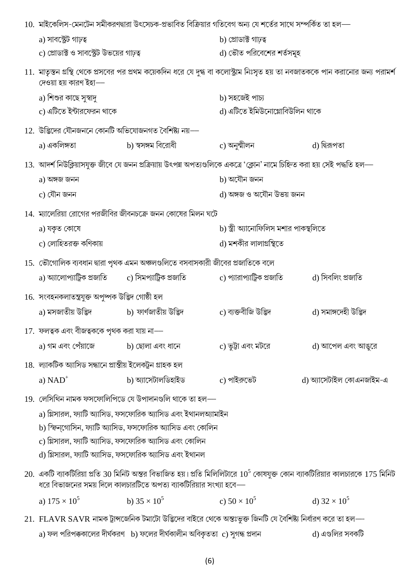| 10.  মাইকেলিস-মেনটেন সমীকরণদ্বারা উৎসেচক-প্রভাবিত বিক্রিয়ার গতিবেগ অন্য যে শর্তের সাথে সম্পর্কিত তা হল—                                                                                                 |                                                                                                                            |                                       |                          |  |
|----------------------------------------------------------------------------------------------------------------------------------------------------------------------------------------------------------|----------------------------------------------------------------------------------------------------------------------------|---------------------------------------|--------------------------|--|
| a) সাবস্ট্রেট গাঢ়ত্ব                                                                                                                                                                                    |                                                                                                                            | b) প্ৰোডাক্ট গাঢ়ত্ব                  |                          |  |
| c) প্রোডাক্ট ও সাবস্ট্রেট উভয়ের গাঢ়ত্ব                                                                                                                                                                 |                                                                                                                            | d) ভৌত পরিবেশের শর্তসমূহ              |                          |  |
| 11. মাতৃস্তন গ্রন্থি থেকে প্রসবের পর প্রথম কয়েকদিন ধরে যে দুগ্ধ বা কলোস্ট্রাম নিঃসৃত হয় তা নবজাতককে পান করানোর জন্য পরামর্শ<br>দেওয়া হয় কারণ ইহা—                                                    |                                                                                                                            |                                       |                          |  |
| a) শিশুর কাছে সুস্বাদু                                                                                                                                                                                   |                                                                                                                            | b) সহজেই পাচ্য                        |                          |  |
| c) এটিতে ইন্টারফেরন থাকে                                                                                                                                                                                 |                                                                                                                            | d) এটিতে ইমিউনোগ্লোবিউলিন থাকে        |                          |  |
| $12.$ উদ্ভিদের যৌনজননে কোনটি অভিযোজনগত বৈশিষ্ট্য নয়—                                                                                                                                                    |                                                                                                                            |                                       |                          |  |
| a) একলিঙ্গতা                                                                                                                                                                                             | b) স্বসঙ্গম বিরোধী                                                                                                         | c) অনুন্মীলন                          | d) দ্বিরূপতা             |  |
|                                                                                                                                                                                                          | 13.  আদর্শ নিউক্লিয়াসযুক্ত জীবে যে জনন প্রক্রিয়ায় উৎপন্ন অপত্যগুলিকে একত্রে 'ক্লোন' নামে চিহ্নিত করা হয় সেই পদ্ধতি হল— |                                       |                          |  |
| a) অঙ্গজ জনন                                                                                                                                                                                             |                                                                                                                            | b) অযৌন জনন                           |                          |  |
| c) যৌন জনন                                                                                                                                                                                               |                                                                                                                            | d) অঙ্গজ ও অযৌন উভয় জনন              |                          |  |
|                                                                                                                                                                                                          | 14. ম্যালেরিয়া রোগের পরজীবির জীবনচক্রে জনন কোষের মিলন ঘটে                                                                 |                                       |                          |  |
| a) যকৃত কোষে                                                                                                                                                                                             |                                                                                                                            | b) স্ত্রী অ্যানোফিলিস মশার পাকস্থলিতে |                          |  |
| c) লোহিতরক্ত কণিকায়                                                                                                                                                                                     |                                                                                                                            | d) মশকীর লালাগ্রন্থিতে                |                          |  |
|                                                                                                                                                                                                          | 15. ভৌগোলিক ব্যবধান দ্বারা পৃথক এমন অঞ্চলগুলিতে বসবাসকারী জীবের প্রজাতিকে বলে                                              |                                       |                          |  |
|                                                                                                                                                                                                          | a) অ্যালোপ্যাট্রিক প্রজাতি           c) সিমপ্যাট্রিক প্রজাতি                                                               | c) প্যারাপ্যাট্রিক প্রজাতি            | d) সিবলিং প্রজাতি        |  |
| 16. সংবহনকলাতন্ত্ৰযুক্ত অপুষ্পক উদ্ভিদ গোষ্ঠী হল                                                                                                                                                         |                                                                                                                            |                                       |                          |  |
| a) মসজাতীয় উদ্ভিদ                 b) ফার্ণজাতীয় উদ্ভিদ                                                                                                                                                 |                                                                                                                            | c) ব্যক্তবীজি উদ্ভিদ                  | d) সমাঙ্গদেহী উদ্ভিদ     |  |
| $17.$ ফলত্বক এবং বীজত্বককে পৃথক করা যায় না-                                                                                                                                                             |                                                                                                                            |                                       |                          |  |
| a) গম এবং পেঁয়াজে                 b) ছোলা এবং ধানে                                                                                                                                                      |                                                                                                                            | c) ভুট্টা এবং মটরে                    | d) আপেল এবং আঙুরে        |  |
| 18.  ল্যাকটিক অ্যাসিড সন্ধানে প্রান্তীয় ইলেকট্রন গ্রাহক হল                                                                                                                                              |                                                                                                                            |                                       |                          |  |
| a) $NAD^+$                                                                                                                                                                                               | b) অ্যাসেটালডিহাইড                                                                                                         | c) পাইরুভেট                           | d) অ্যাসেটাইল কোএনজাইম-এ |  |
|                                                                                                                                                                                                          | 19. লেসিথিন নামক ফসফোলিপিডে যে উপাদানগুলি থাকে তা হল—                                                                      |                                       |                          |  |
| a) গ্লিসারল, ফ্যাটি অ্যাসিড, ফসফোরিক অ্যাসিড এবং ইথানলঅ্যামাইন                                                                                                                                           |                                                                                                                            |                                       |                          |  |
| b) স্ফিন্গোসিন, ফ্যাটি অ্যাসিড, ফসফোরিক অ্যাসিড এবং কোলিন                                                                                                                                                |                                                                                                                            |                                       |                          |  |
| c) গ্লিসারল, ফ্যাটি অ্যাসিড, ফসফোরিক অ্যাসিড এবং কোলিন                                                                                                                                                   |                                                                                                                            |                                       |                          |  |
|                                                                                                                                                                                                          | d) গ্লিসারল, ফ্যাটি অ্যাসিড, ফসফোরিক অ্যাসিড এবং ইথানল                                                                     |                                       |                          |  |
| $20$ .  একটি ব্যাকটিরিয়া প্রতি 30 মিনিট অন্তর বিভাজিত হয়। প্রতি মিলিলিটারে $10^5$ কোষযুক্ত কোন ব্যাকটিরিয়ার কালচারকে $175$ মিনিট<br>ধরে বিভাজনের সময় দিলে কালচারটিতে অপত্য ব্যাকটিরিয়ার সংখ্যা হবে— |                                                                                                                            |                                       |                          |  |
| a) $175 \times 10^5$                                                                                                                                                                                     | b) $35 \times 10^5$                                                                                                        | c) $50 \times 10^5$                   | d) $32 \times 10^5$      |  |
|                                                                                                                                                                                                          | 21.  FLAVR SAVR নামক ট্রান্সজেনিক টমাটো উদ্ভিদের বাইরে থেকে অন্তঃভূক্ত জিনটি যে বৈশিষ্ট্য নির্ধারণ করে তা হল—-             |                                       |                          |  |

 $\,$ a) ফল পরিপক্ককালের দীর্ঘকরণ  $\,$  b) ফলের দীর্ঘকালীন অবিকৃততা  $\,$   $\,$ c) সুগন্ধ প্রদান d) এগুলির সবকটি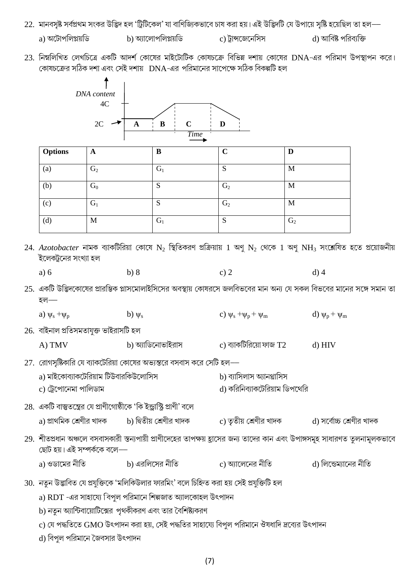- 22. মানবসৃষ্ট সর্বপ্রথম সংকর উদ্ভিদ হল 'ট্রিটিকেল' যা বাণিজ্যিকভাবে চাষ করা হয়। এই উদ্ভিদটি যে উপায়ে সৃষ্টি হয়েছিল তা হল
	- a) অটোপলিপ্লয়ডি b) আলোপলিপ্লয়ডি c) ট্রান্সজেনেসিস

d) আবিষ্ট পরিব্যক্তি

23. নিম্নলিখিত লেখচিত্রে একটি আদর্শ কোষের মাইটোটিক কোষচক্রে বিভিন্ন দশায় কোষের DNA-এর পরিমাণ উপস্থাপন করে। কোষচক্রের সঠিক দশা এবং সেই দশায় DNA-এর পরিমানের সাপেক্ষে সঠিক বিকল্পটি হল